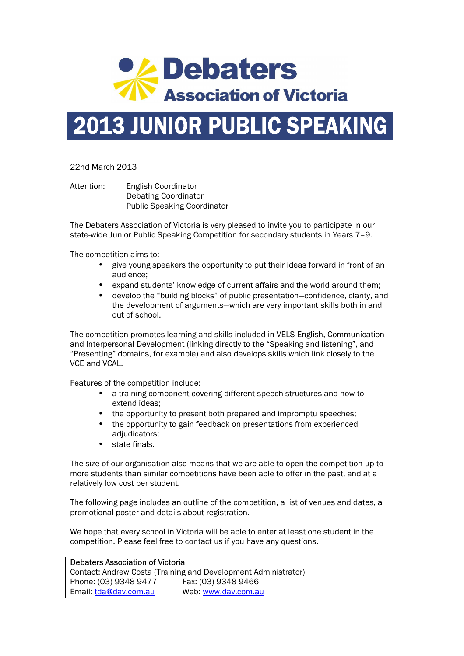

## 2013 JUNIOR PUBLIC SPEAKING

22nd March 2013

Attention: English Coordinator Debating Coordinator Public Speaking Coordinator

The Debaters Association of Victoria is very pleased to invite you to participate in our state-wide Junior Public Speaking Competition for secondary students in Years 7–9.

The competition aims to:

- give young speakers the opportunity to put their ideas forward in front of an audience;
- expand students' knowledge of current affairs and the world around them;
- develop the "building blocks" of public presentation—confidence, clarity, and the development of arguments—which are very important skills both in and out of school.

The competition promotes learning and skills included in VELS English, Communication and Interpersonal Development (linking directly to the "Speaking and listening", and "Presenting" domains, for example) and also develops skills which link closely to the VCE and VCAL.

Features of the competition include:

- a training component covering different speech structures and how to extend ideas;
- the opportunity to present both prepared and impromptu speeches;
- the opportunity to gain feedback on presentations from experienced adiudicators:
- state finals.

The size of our organisation also means that we are able to open the competition up to more students than similar competitions have been able to offer in the past, and at a relatively low cost per student.

The following page includes an outline of the competition, a list of venues and dates, a promotional poster and details about registration.

We hope that every school in Victoria will be able to enter at least one student in the competition. Please feel free to contact us if you have any questions.

Debaters Association of Victoria Contact: Andrew Costa (Training and Development Administrator) Phone: (03) 9348 9477 Fax: (03) 9348 9466 Email: tda@dav.com.au Web: www.dav.com.au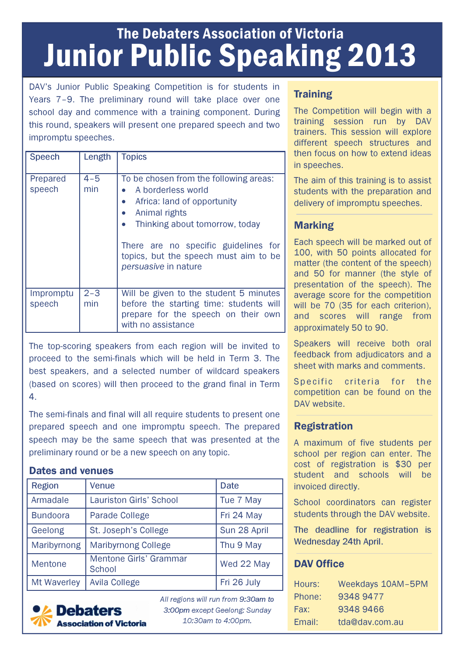## The Debaters Association of Victoria Junior Public Speaking 2013

DAV's Junior Public Speaking Competition is for students in Years 7–9. The preliminary round will take place over one school day and commence with a training component. During this round, speakers will present one prepared speech and two impromptu speeches.

| <b>Speech</b>       | Length         | <b>Topics</b>                                                                                                                                                                                                                                           |
|---------------------|----------------|---------------------------------------------------------------------------------------------------------------------------------------------------------------------------------------------------------------------------------------------------------|
| Prepared<br>speech  | $4 - 5$<br>min | To be chosen from the following areas:<br>A borderless world<br>Africa: land of opportunity<br>Animal rights<br>Thinking about tomorrow, today<br>There are no specific guidelines for<br>topics, but the speech must aim to be<br>persuasive in nature |
| Impromptu<br>speech | $2 - 3$<br>min | Will be given to the student 5 minutes<br>before the starting time: students will<br>prepare for the speech on their own<br>with no assistance                                                                                                          |

The top-scoring speakers from each region will be invited to proceed to the semi-finals which will be held in Term 3. The best speakers, and a selected number of wildcard speakers (based on scores) will then proceed to the grand final in Term 4.

The semi-finals and final will all require students to present one prepared speech and one impromptu speech. The prepared speech may be the same speech that was presented at the preliminary round or be a new speech on any topic.

#### Dates and venues

| <b>Region</b>      | Venue                                   | <b>Date</b>  |
|--------------------|-----------------------------------------|--------------|
| Armadale           | <b>Lauriston Girls' School</b>          | Tue 7 May    |
| <b>Bundoora</b>    | <b>Parade College</b>                   | Fri 24 May   |
| Geelong            | St. Joseph's College                    | Sun 28 April |
| Maribyrnong        | <b>Maribyrnong College</b>              | Thu 9 May    |
| Mentone            | Mentone Girls' Grammar<br><b>School</b> | Wed 22 May   |
| <b>Mt Waverley</b> | <b>Avila College</b>                    | Fri 26 July  |



*All regions will run from* 9:30am to 3:00pm *except Geelong: Sunday 10:30am to 4:00pm.* 

## **Training**

The Competition will begin with a training session run by DAV trainers. This session will explore different speech structures and then focus on how to extend ideas in speeches.

The aim of this training is to assist students with the preparation and delivery of impromptu speeches.

### Marking

Each speech will be marked out of 100, with 50 points allocated for matter (the content of the speech) and 50 for manner (the style of presentation of the speech). The average score for the competition will be 70 (35 for each criterion). and scores will range from approximately 50 to 90.

Speakers will receive both oral feedback from adjudicators and a sheet with marks and comments.

Specific criteria for the competition can be found on the DAV website.

### Registration

A maximum of five students per school per region can enter. The cost of registration is \$30 per student and schools will be invoiced directly.

School coordinators can register students through the DAV website.

The deadline for registration is Wednesday 24th April.

### DAV Office

| Hours: | <b>Weekdays 10AM-5PM</b> |
|--------|--------------------------|
| Phone: | 9348 9477                |
| Fax:   | 93489466                 |
| Email: | tda@dav.com.au           |